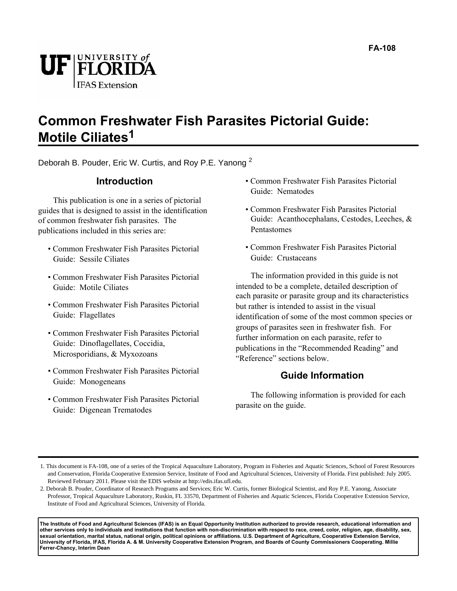

#### **Common Freshwater Fish Parasites Pictorial Guide: Motile Ciliates1**

Deborah B. Pouder, Eric W. Curtis, and Roy P.E. Yanong <sup>2</sup>

#### **Introduction**

This publication is one in a series of pictorial guides that is designed to assist in the identification of common freshwater fish parasites. The publications included in this series are:

- Common Freshwater Fish Parasites Pictorial Guide: Sessile Ciliates
- Common Freshwater Fish Parasites Pictorial Guide: Motile Ciliates
- Common Freshwater Fish Parasites Pictorial Guide: Flagellates
- Common Freshwater Fish Parasites Pictorial Guide: Dinoflagellates, Coccidia, Microsporidians, & Myxozoans
- Common Freshwater Fish Parasites Pictorial Guide: Monogeneans
- Common Freshwater Fish Parasites Pictorial Guide: Digenean Trematodes
- Common Freshwater Fish Parasites Pictorial Guide: Nematodes
- Common Freshwater Fish Parasites Pictorial Guide: Acanthocephalans, Cestodes, Leeches, & Pentastomes
- Common Freshwater Fish Parasites Pictorial Guide: Crustaceans

The information provided in this guide is not intended to be a complete, detailed description of each parasite or parasite group and its characteristics but rather is intended to assist in the visual identification of some of the most common species or groups of parasites seen in freshwater fish. For further information on each parasite, refer to publications in the "Recommended Reading" and "Reference" sections below.

#### **Guide Information**

The following information is provided for each parasite on the guide.

**The Institute of Food and Agricultural Sciences (IFAS) is an Equal Opportunity Institution authorized to provide research, educational information and other services only to individuals and institutions that function with non-discrimination with respect to race, creed, color, religion, age, disability, sex, sexual orientation, marital status, national origin, political opinions or affiliations. U.S. Department of Agriculture, Cooperative Extension Service, University of Florida, IFAS, Florida A. & M. University Cooperative Extension Program, and Boards of County Commissioners Cooperating. Millie Ferrer-Chancy, Interim Dean**

<sup>1.</sup> This document is FA-108, one of a series of the Tropical Aquaculture Laboratory, Program in Fisheries and Aquatic Sciences, School of Forest Resources and Conservation, Florida Cooperative Extension Service, Institute of Food and Agricultural Sciences, University of Florida. First published: July 2005. Reviewed February 2011. Please visit the EDIS website at http://edis.ifas.ufl.edu.

<sup>2.</sup> Deborah B. Pouder, Coordinator of Research Programs and Services; Eric W. Curtis, former Biological Scientist, and Roy P.E. Yanong, Associate Professor, Tropical Aquaculture Laboratory, Ruskin, FL 33570, Department of Fisheries and Aquatic Sciences, Florida Cooperative Extension Service, Institute of Food and Agricultural Sciences, University of Florida.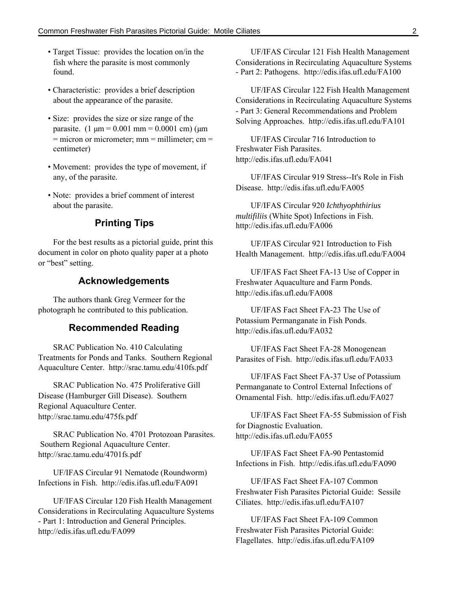- Target Tissue: provides the location on/in the fish where the parasite is most commonly found.
- Characteristic: provides a brief description about the appearance of the parasite.
- Size: provides the size or size range of the parasite.  $(1 \mu m = 0.001 \text{ mm} = 0.0001 \text{ cm})$  ( $\mu$ m  $=$  micron or micrometer; mm  $=$  millimeter; cm  $=$ centimeter)
- Movement: provides the type of movement, if any, of the parasite.
- Note: provides a brief comment of interest about the parasite.

#### **Printing Tips**

For the best results as a pictorial guide, print this document in color on photo quality paper at a photo or "best" setting.

#### **Acknowledgements**

The authors thank Greg Vermeer for the photograph he contributed to this publication.

#### **Recommended Reading**

SRAC Publication No. 410 Calculating Treatments for Ponds and Tanks. Southern Regional Aquaculture Center. http://srac.tamu.edu/410fs.pdf

SRAC Publication No. 475 Proliferative Gill Disease (Hamburger Gill Disease). Southern Regional Aquaculture Center. http://srac.tamu.edu/475fs.pdf

SRAC Publication No. 4701 Protozoan Parasites. Southern Regional Aquaculture Center. http://srac.tamu.edu/4701fs.pdf

UF/IFAS Circular 91 Nematode (Roundworm) Infections in Fish. http://edis.ifas.ufl.edu/FA091

UF/IFAS Circular 120 Fish Health Management Considerations in Recirculating Aquaculture Systems - Part 1: Introduction and General Principles. http://edis.ifas.ufl.edu/FA099

UF/IFAS Circular 121 Fish Health Management Considerations in Recirculating Aquaculture Systems - Part 2: Pathogens. http://edis.ifas.ufl.edu/FA100

UF/IFAS Circular 122 Fish Health Management Considerations in Recirculating Aquaculture Systems - Part 3: General Recommendations and Problem Solving Approaches. http://edis.ifas.ufl.edu/FA101

UF/IFAS Circular 716 Introduction to Freshwater Fish Parasites. http://edis.ifas.ufl.edu/FA041

UF/IFAS Circular 919 Stress--It's Role in Fish Disease. http://edis.ifas.ufl.edu/FA005

UF/IFAS Circular 920 *Ichthyophthirius multifiliis* (White Spot) Infections in Fish. http://edis.ifas.ufl.edu/FA006

UF/IFAS Circular 921 Introduction to Fish Health Management. http://edis.ifas.ufl.edu/FA004

UF/IFAS Fact Sheet FA-13 Use of Copper in Freshwater Aquaculture and Farm Ponds. http://edis.ifas.ufl.edu/FA008

UF/IFAS Fact Sheet FA-23 The Use of Potassium Permanganate in Fish Ponds. http://edis.ifas.ufl.edu/FA032

UF/IFAS Fact Sheet FA-28 Monogenean Parasites of Fish. http://edis.ifas.ufl.edu/FA033

UF/IFAS Fact Sheet FA-37 Use of Potassium Permanganate to Control External Infections of Ornamental Fish. http://edis.ifas.ufl.edu/FA027

UF/IFAS Fact Sheet FA-55 Submission of Fish for Diagnostic Evaluation. http://edis.ifas.ufl.edu/FA055

UF/IFAS Fact Sheet FA-90 Pentastomid Infections in Fish. http://edis.ifas.ufl.edu/FA090

UF/IFAS Fact Sheet FA-107 Common Freshwater Fish Parasites Pictorial Guide: Sessile Ciliates. http://edis.ifas.ufl.edu/FA107

UF/IFAS Fact Sheet FA-109 Common Freshwater Fish Parasites Pictorial Guide: Flagellates. http://edis.ifas.ufl.edu/FA109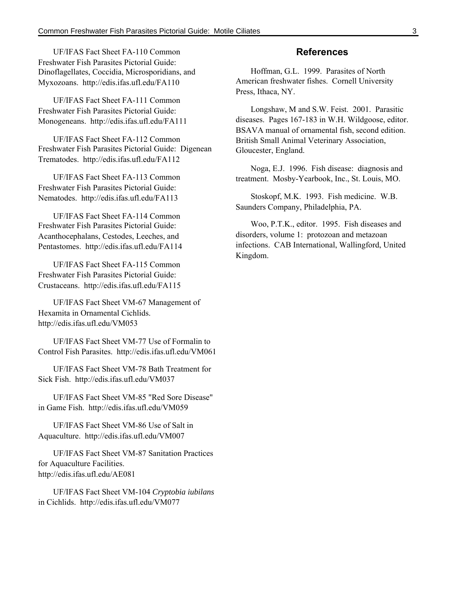UF/IFAS Fact Sheet FA-110 Common Freshwater Fish Parasites Pictorial Guide: Dinoflagellates, Coccidia, Microsporidians, and Myxozoans. http://edis.ifas.ufl.edu/FA110

UF/IFAS Fact Sheet FA-111 Common Freshwater Fish Parasites Pictorial Guide: Monogeneans. http://edis.ifas.ufl.edu/FA111

UF/IFAS Fact Sheet FA-112 Common Freshwater Fish Parasites Pictorial Guide: Digenean Trematodes. http://edis.ifas.ufl.edu/FA112

UF/IFAS Fact Sheet FA-113 Common Freshwater Fish Parasites Pictorial Guide: Nematodes. http://edis.ifas.ufl.edu/FA113

UF/IFAS Fact Sheet FA-114 Common Freshwater Fish Parasites Pictorial Guide: Acanthocephalans, Cestodes, Leeches, and Pentastomes. http://edis.ifas.ufl.edu/FA114

UF/IFAS Fact Sheet FA-115 Common Freshwater Fish Parasites Pictorial Guide: Crustaceans. http://edis.ifas.ufl.edu/FA115

UF/IFAS Fact Sheet VM-67 Management of Hexamita in Ornamental Cichlids. http://edis.ifas.ufl.edu/VM053

UF/IFAS Fact Sheet VM-77 Use of Formalin to Control Fish Parasites. http://edis.ifas.ufl.edu/VM061

UF/IFAS Fact Sheet VM-78 Bath Treatment for Sick Fish. http://edis.ifas.ufl.edu/VM037

UF/IFAS Fact Sheet VM-85 "Red Sore Disease" in Game Fish. http://edis.ifas.ufl.edu/VM059

UF/IFAS Fact Sheet VM-86 Use of Salt in Aquaculture. http://edis.ifas.ufl.edu/VM007

UF/IFAS Fact Sheet VM-87 Sanitation Practices for Aquaculture Facilities. http://edis.ifas.ufl.edu/AE081

UF/IFAS Fact Sheet VM-104 *Cryptobia iubilans* in Cichlids. http://edis.ifas.ufl.edu/VM077

#### **References**

Hoffman, G.L. 1999. Parasites of North American freshwater fishes. Cornell University Press, Ithaca, NY.

Longshaw, M and S.W. Feist. 2001. Parasitic diseases. Pages 167-183 in W.H. Wildgoose, editor. BSAVA manual of ornamental fish, second edition. British Small Animal Veterinary Association, Gloucester, England.

Noga, E.J. 1996. Fish disease: diagnosis and treatment. Mosby-Yearbook, Inc., St. Louis, MO.

Stoskopf, M.K. 1993. Fish medicine. W.B. Saunders Company, Philadelphia, PA.

Woo, P.T.K., editor. 1995. Fish diseases and disorders, volume 1: protozoan and metazoan infections. CAB International, Wallingford, United Kingdom.